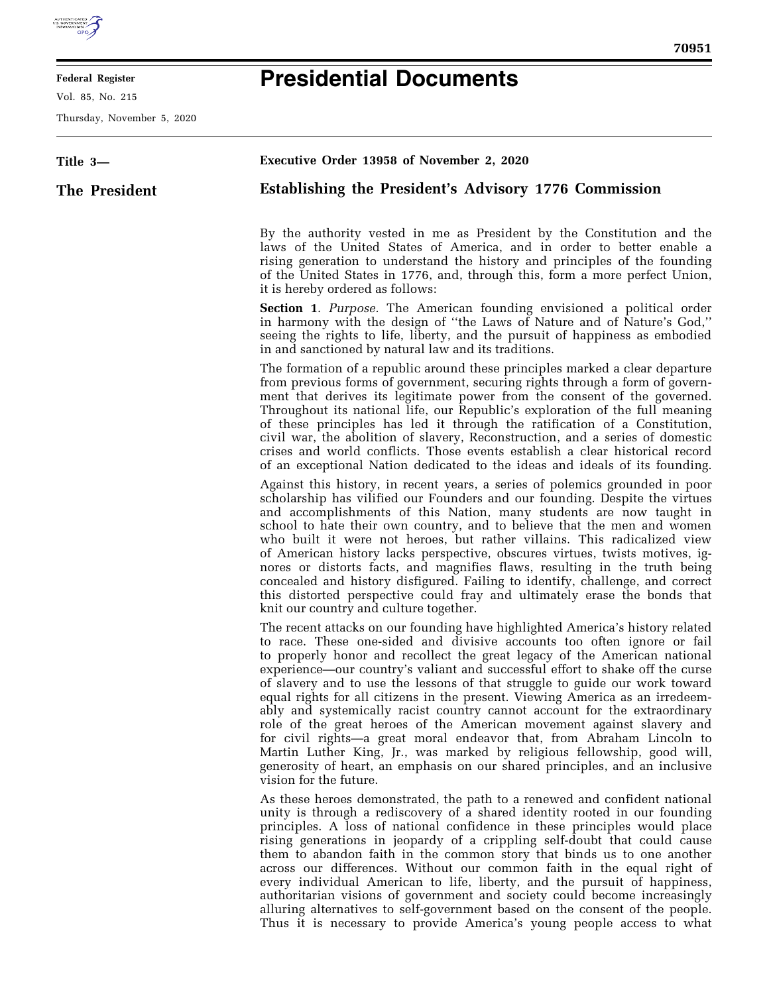

## **Federal Register**

Vol. 85, No. 215

Thursday, November 5, 2020

## **Presidential Documents**

| Title 3-      | Executive Order 13958 of November 2, 2020                                                                                                                                                                                                                                                                                                                                                                                                                                                                                                                                                                                                                                                                                                                                                                                                                                                                 |
|---------------|-----------------------------------------------------------------------------------------------------------------------------------------------------------------------------------------------------------------------------------------------------------------------------------------------------------------------------------------------------------------------------------------------------------------------------------------------------------------------------------------------------------------------------------------------------------------------------------------------------------------------------------------------------------------------------------------------------------------------------------------------------------------------------------------------------------------------------------------------------------------------------------------------------------|
| The President | Establishing the President's Advisory 1776 Commission                                                                                                                                                                                                                                                                                                                                                                                                                                                                                                                                                                                                                                                                                                                                                                                                                                                     |
|               | By the authority vested in me as President by the Constitution and the<br>laws of the United States of America, and in order to better enable a<br>rising generation to understand the history and principles of the founding<br>of the United States in 1776, and, through this, form a more perfect Union,<br>it is hereby ordered as follows:                                                                                                                                                                                                                                                                                                                                                                                                                                                                                                                                                          |
|               | <b>Section 1.</b> Purpose. The American founding envisioned a political order<br>in harmony with the design of "the Laws of Nature and of Nature's God,"<br>seeing the rights to life, liberty, and the pursuit of happiness as embodied<br>in and sanctioned by natural law and its traditions.                                                                                                                                                                                                                                                                                                                                                                                                                                                                                                                                                                                                          |
|               | The formation of a republic around these principles marked a clear departure<br>from previous forms of government, securing rights through a form of govern-<br>ment that derives its legitimate power from the consent of the governed.<br>Throughout its national life, our Republic's exploration of the full meaning<br>of these principles has led it through the ratification of a Constitution,<br>civil war, the abolition of slavery, Reconstruction, and a series of domestic<br>crises and world conflicts. Those events establish a clear historical record<br>of an exceptional Nation dedicated to the ideas and ideals of its founding.                                                                                                                                                                                                                                                    |
|               | Against this history, in recent years, a series of polemics grounded in poor<br>scholarship has vilified our Founders and our founding. Despite the virtues<br>and accomplishments of this Nation, many students are now taught in<br>school to hate their own country, and to believe that the men and women<br>who built it were not heroes, but rather villains. This radicalized view<br>of American history lacks perspective, obscures virtues, twists motives, ig-<br>nores or distorts facts, and magnifies flaws, resulting in the truth being<br>concealed and history disfigured. Failing to identify, challenge, and correct<br>this distorted perspective could fray and ultimately erase the bonds that<br>knit our country and culture together.                                                                                                                                           |
|               | The recent attacks on our founding have highlighted America's history related<br>to race. These one-sided and divisive accounts too often ignore or fail<br>to properly honor and recollect the great legacy of the American national<br>experience—our country's valiant and successful effort to shake off the curse<br>of slavery and to use the lessons of that struggle to guide our work toward<br>equal rights for all citizens in the present. Viewing America as an irredeem-<br>ably and systemically racist country cannot account for the extraordinary<br>role of the great heroes of the American movement against slavery and<br>for civil rights—a great moral endeavor that, from Abraham Lincoln to<br>Martin Luther King, Jr., was marked by religious fellowship, good will,<br>generosity of heart, an emphasis on our shared principles, and an inclusive<br>vision for the future. |
|               | As these heroes demonstrated, the path to a renewed and confident national<br>unity is through a rediscovery of a shared identity rooted in our founding<br>principles. A loss of national confidence in these principles would place<br>rising generations in jeopardy of a crippling self-doubt that could cause<br>them to abandon faith in the common story that binds us to one another<br>across our differences. Without our common faith in the equal right of<br>every individual American to life, liberty, and the pursuit of happiness,<br>authoritarian visions of government and society could become increasingly<br>alluring alternatives to self-government based on the consent of the people.                                                                                                                                                                                          |

Thus it is necessary to provide America's young people access to what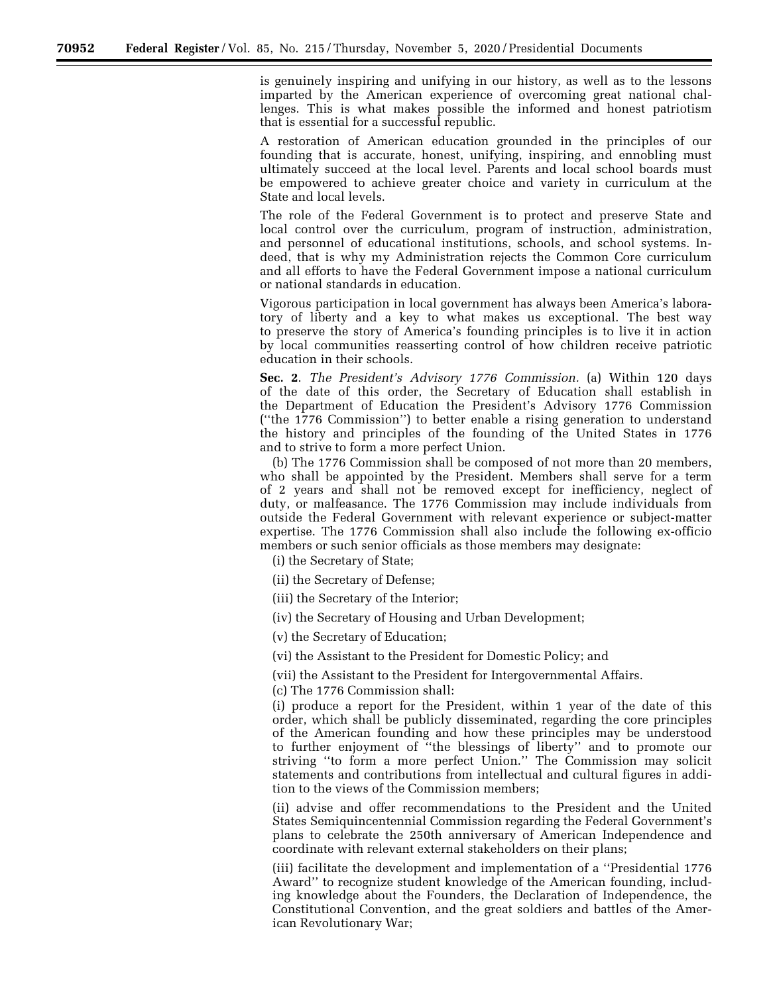is genuinely inspiring and unifying in our history, as well as to the lessons imparted by the American experience of overcoming great national challenges. This is what makes possible the informed and honest patriotism that is essential for a successful republic.

A restoration of American education grounded in the principles of our founding that is accurate, honest, unifying, inspiring, and ennobling must ultimately succeed at the local level. Parents and local school boards must be empowered to achieve greater choice and variety in curriculum at the State and local levels.

The role of the Federal Government is to protect and preserve State and local control over the curriculum, program of instruction, administration, and personnel of educational institutions, schools, and school systems. Indeed, that is why my Administration rejects the Common Core curriculum and all efforts to have the Federal Government impose a national curriculum or national standards in education.

Vigorous participation in local government has always been America's laboratory of liberty and a key to what makes us exceptional. The best way to preserve the story of America's founding principles is to live it in action by local communities reasserting control of how children receive patriotic education in their schools.

**Sec. 2**. *The President's Advisory 1776 Commission.* (a) Within 120 days of the date of this order, the Secretary of Education shall establish in the Department of Education the President's Advisory 1776 Commission (''the 1776 Commission'') to better enable a rising generation to understand the history and principles of the founding of the United States in 1776 and to strive to form a more perfect Union.

(b) The 1776 Commission shall be composed of not more than 20 members, who shall be appointed by the President. Members shall serve for a term of 2 years and shall not be removed except for inefficiency, neglect of duty, or malfeasance. The 1776 Commission may include individuals from outside the Federal Government with relevant experience or subject-matter expertise. The 1776 Commission shall also include the following ex-officio members or such senior officials as those members may designate:

(i) the Secretary of State;

(ii) the Secretary of Defense;

(iii) the Secretary of the Interior;

(iv) the Secretary of Housing and Urban Development;

(v) the Secretary of Education;

(vi) the Assistant to the President for Domestic Policy; and

(vii) the Assistant to the President for Intergovernmental Affairs.

(c) The 1776 Commission shall:

(i) produce a report for the President, within 1 year of the date of this order, which shall be publicly disseminated, regarding the core principles of the American founding and how these principles may be understood to further enjoyment of ''the blessings of liberty'' and to promote our striving ''to form a more perfect Union.'' The Commission may solicit statements and contributions from intellectual and cultural figures in addition to the views of the Commission members;

(ii) advise and offer recommendations to the President and the United States Semiquincentennial Commission regarding the Federal Government's plans to celebrate the 250th anniversary of American Independence and coordinate with relevant external stakeholders on their plans;

(iii) facilitate the development and implementation of a ''Presidential 1776 Award'' to recognize student knowledge of the American founding, including knowledge about the Founders, the Declaration of Independence, the Constitutional Convention, and the great soldiers and battles of the American Revolutionary War;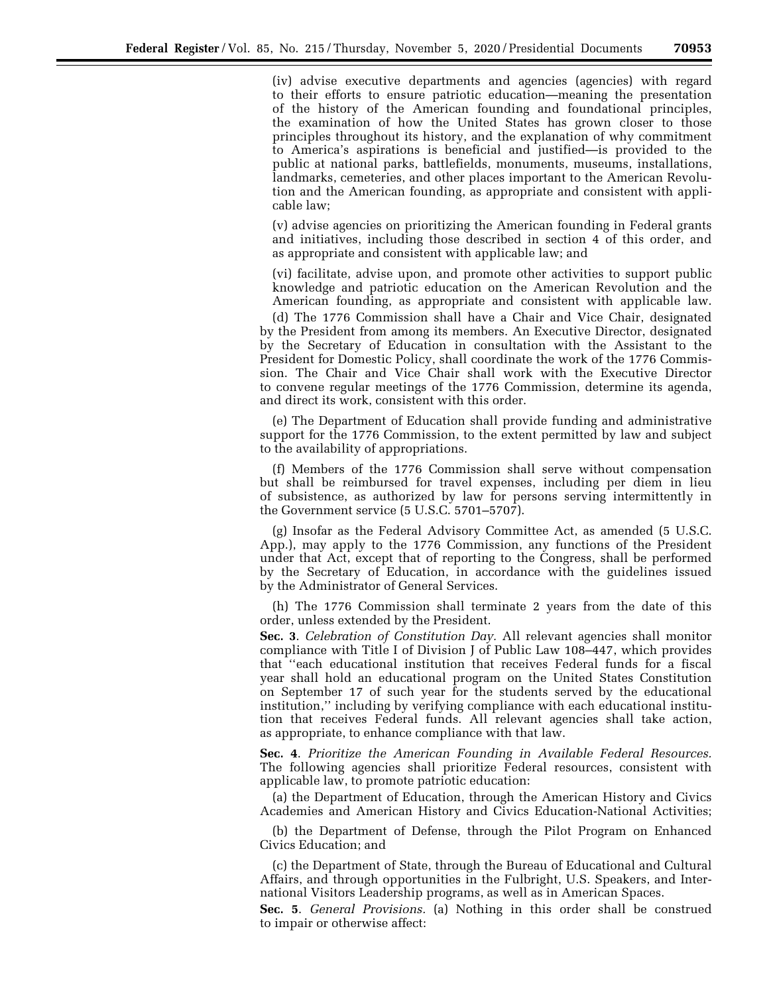(iv) advise executive departments and agencies (agencies) with regard to their efforts to ensure patriotic education—meaning the presentation of the history of the American founding and foundational principles, the examination of how the United States has grown closer to those principles throughout its history, and the explanation of why commitment to America's aspirations is beneficial and justified—is provided to the public at national parks, battlefields, monuments, museums, installations, landmarks, cemeteries, and other places important to the American Revolution and the American founding, as appropriate and consistent with applicable law;

(v) advise agencies on prioritizing the American founding in Federal grants and initiatives, including those described in section 4 of this order, and as appropriate and consistent with applicable law; and

(vi) facilitate, advise upon, and promote other activities to support public knowledge and patriotic education on the American Revolution and the American founding, as appropriate and consistent with applicable law.

(d) The 1776 Commission shall have a Chair and Vice Chair, designated by the President from among its members. An Executive Director, designated by the Secretary of Education in consultation with the Assistant to the President for Domestic Policy, shall coordinate the work of the 1776 Commission. The Chair and Vice Chair shall work with the Executive Director to convene regular meetings of the 1776 Commission, determine its agenda, and direct its work, consistent with this order.

(e) The Department of Education shall provide funding and administrative support for the 1776 Commission, to the extent permitted by law and subject to the availability of appropriations.

(f) Members of the 1776 Commission shall serve without compensation but shall be reimbursed for travel expenses, including per diem in lieu of subsistence, as authorized by law for persons serving intermittently in the Government service (5 U.S.C. 5701–5707).

(g) Insofar as the Federal Advisory Committee Act, as amended (5 U.S.C. App.), may apply to the 1776 Commission, any functions of the President under that Act, except that of reporting to the Congress, shall be performed by the Secretary of Education, in accordance with the guidelines issued by the Administrator of General Services.

(h) The 1776 Commission shall terminate 2 years from the date of this order, unless extended by the President.

**Sec. 3**. *Celebration of Constitution Day.* All relevant agencies shall monitor compliance with Title I of Division J of Public Law 108–447, which provides that ''each educational institution that receives Federal funds for a fiscal year shall hold an educational program on the United States Constitution on September 17 of such year for the students served by the educational institution,'' including by verifying compliance with each educational institution that receives Federal funds. All relevant agencies shall take action, as appropriate, to enhance compliance with that law.

**Sec. 4**. *Prioritize the American Founding in Available Federal Resources.*  The following agencies shall prioritize Federal resources, consistent with applicable law, to promote patriotic education:

(a) the Department of Education, through the American History and Civics Academies and American History and Civics Education-National Activities;

(b) the Department of Defense, through the Pilot Program on Enhanced Civics Education; and

(c) the Department of State, through the Bureau of Educational and Cultural Affairs, and through opportunities in the Fulbright, U.S. Speakers, and International Visitors Leadership programs, as well as in American Spaces.

**Sec. 5**. *General Provisions.* (a) Nothing in this order shall be construed to impair or otherwise affect: